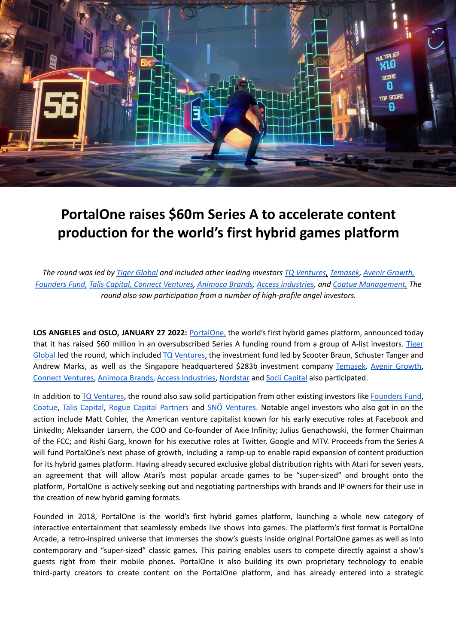

## **PortalOne raises \$60m Series A to accelerate content production for the world's first hybrid games platform**

The round was led by Tiger [Global](https://www.tigerglobal.com/) and included other leading investors TQ [Ventures](https://www.tqventures.com/), [Temasek,](https://temasek.com.sg/) Avenir [Growth,](https://www.avenirgrowth.com/) *[Founders](https://foundersfund.com/) Fund, Talis [Capital,](https://taliscapital.com/) Connect [Ventures,](https://www.connectventures.com) [Animoca](https://www.animocabrands.com/) Brands, Access [industries,](https://www.accessindustries.com/) and Coatue [Management.](https://www.coatue.com/) The round also saw participation from a number of high-profile angel investors.*

**LOS ANGELES and OSLO, JANUARY 27 2022:** [PortalOne,](https://portalone.com/) the world's first hybrid games platform, announced today that it has raised \$60 million in an oversubscribed Series A funding round from a group of A-list investors. [Tiger](https://www.tigerglobal.com/) [Global](https://www.tigerglobal.com/) led the round, which included TQ [Ventures,](https://www.tqventures.com/) the investment fund led by Scooter Braun, Schuster Tanger and Andrew Marks, as well as the Singapore headquartered \$283b investment company [Temasek](https://temasek.com.sg/). Avenir [Growth](https://www.avenirgrowth.com/), Connect [Ventures,](https://www.connectventures.com) [Animoca](https://www.animocabrands.com/) Brands, Access [Industries,](https://www.accessindustries.com/) [Nordstar](https://www.nordstar.com/) and Socii [Capital](https://sociicapital.com/) also participated.

In addition to TQ [Ventures](https://www.tqventures.com/), the round also saw solid participation from other existing investors like [Founders](https://foundersfund.com/) Fund, [Coatue](https://www.coatue.com/), Talis [Capital,](https://taliscapital.com/) Rogue Capital [Partners](http://rogue.capital/) and SNÖ [Ventures.](https://sno.vc/) Notable angel investors who also got in on the action include Matt Cohler, the American venture capitalist known for his early executive roles at Facebook and LinkedIn; Aleksander Larsern, the COO and Co-founder of Axie Infinity; Julius Genachowski, the former Chairman of the FCC; and Rishi Garg, known for his executive roles at Twitter, Google and MTV. Proceeds from the Series A will fund PortalOne's next phase of growth, including a ramp-up to enable rapid expansion of content production for its hybrid games platform. Having already secured exclusive global distribution rights with Atari for seven years, an agreement that will allow Atari's most popular arcade games to be "super-sized" and brought onto the platform, PortalOne is actively seeking out and negotiating partnerships with brands and IP owners for their use in the creation of new hybrid gaming formats.

Founded in 2018, PortalOne is the world's first hybrid games platform, launching a whole new category of interactive entertainment that seamlessly embeds live shows into games. The platform's first format is PortalOne Arcade, a retro-inspired universe that immerses the show's guests inside original PortalOne games as well as into contemporary and "super-sized" classic games. This pairing enables users to compete directly against a show's guests right from their mobile phones. PortalOne is also building its own proprietary technology to enable third-party creators to create content on the PortalOne platform, and has already entered into a strategic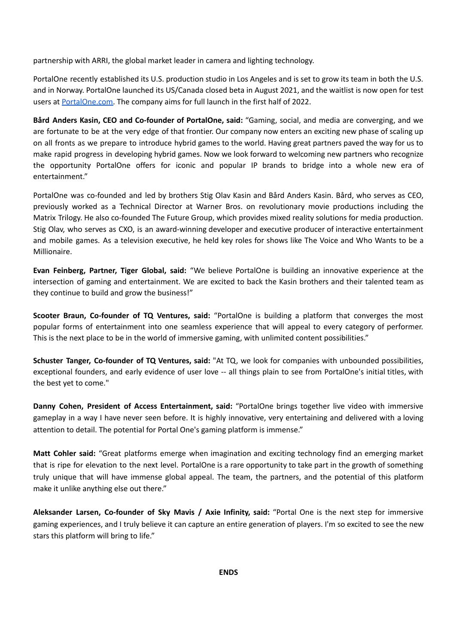partnership with ARRI, the global market leader in camera and lighting technology.

PortalOne recently established its U.S. production studio in Los Angeles and is set to grow its team in both the U.S. and in Norway. PortalOne launched its US/Canada closed beta in August 2021, and the waitlist is now open for test users at [PortalOne.com.](http://www.portalone.com) The company aims for full launch in the first half of 2022.

**Bård Anders Kasin, CEO and Co-founder of PortalOne, said:** "Gaming, social, and media are converging, and we are fortunate to be at the very edge of that frontier. Our company now enters an exciting new phase of scaling up on all fronts as we prepare to introduce hybrid games to the world. Having great partners paved the way for us to make rapid progress in developing hybrid games. Now we look forward to welcoming new partners who recognize the opportunity PortalOne offers for iconic and popular IP brands to bridge into a whole new era of entertainment."

PortalOne was co-founded and led by brothers Stig Olav Kasin and Bård Anders Kasin. Bård, who serves as CEO, previously worked as a Technical Director at Warner Bros. on revolutionary movie productions including the Matrix Trilogy. He also co-founded The Future Group, which provides mixed reality solutions for media production. Stig Olav, who serves as CXO, is an award-winning developer and executive producer of interactive entertainment and mobile games. As a television executive, he held key roles for shows like The Voice and Who Wants to be a Millionaire.

**Evan Feinberg, Partner, Tiger Global, said:** "We believe PortalOne is building an innovative experience at the intersection of gaming and entertainment. We are excited to back the Kasin brothers and their talented team as they continue to build and grow the business!"

**Scooter Braun, Co-founder of TQ Ventures, said:** "PortalOne is building a platform that converges the most popular forms of entertainment into one seamless experience that will appeal to every category of performer. This is the next place to be in the world of immersive gaming, with unlimited content possibilities."

**Schuster Tanger, Co-founder of TQ Ventures, said:** "At TQ, we look for companies with unbounded possibilities, exceptional founders, and early evidence of user love -- all things plain to see from PortalOne's initial titles, with the best yet to come."

**Danny Cohen, President of Access Entertainment, said:** "PortalOne brings together live video with immersive gameplay in a way I have never seen before. It is highly innovative, very entertaining and delivered with a loving attention to detail. The potential for Portal One's gaming platform is immense."

**Matt Cohler said:** "Great platforms emerge when imagination and exciting technology find an emerging market that is ripe for elevation to the next level. PortalOne is a rare opportunity to take part in the growth of something truly unique that will have immense global appeal. The team, the partners, and the potential of this platform make it unlike anything else out there."

**Aleksander Larsen, Co-founder of Sky Mavis / Axie Infinity, said:** "Portal One is the next step for immersive gaming experiences, and I truly believe it can capture an entire generation of players. I'm so excited to see the new stars this platform will bring to life."